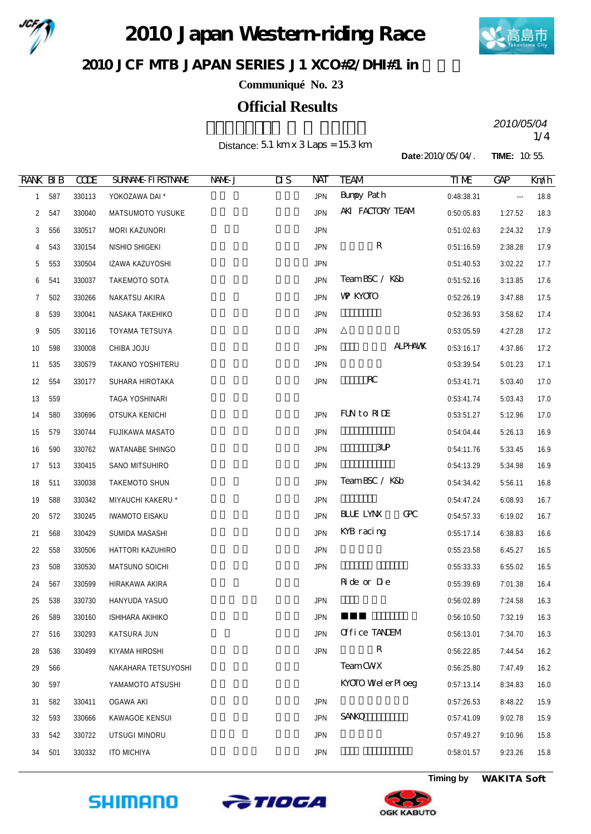

2010 Japan Western riding Race



JCF MIB JAPAN SERIES J1 XCO#2/DHI#1 in

**Communiqué No. 23**

# **Official Results**

Distance: 5.1 km x 3 Laps = 15.3 km

2010/05/04<br>1/4 *2010/05/04*

**Date:**2010/05/04/. **TIME:** 10:55.

| <b>RANK BIB</b> |     | <b>CCDE</b> | <b>SURVANE FIRSTIVANE</b> | NAME-J | $\overline{\text{MS}}$ | NАТ        | <b>TEAM</b>           | TIME       | <b>GAP</b> | Kndh |
|-----------------|-----|-------------|---------------------------|--------|------------------------|------------|-----------------------|------------|------------|------|
| $\mathbf{1}$    | 587 | 330113      | YOKOZAWA DAI *            |        |                        | <b>JPN</b> | <b>Bunpy Path</b>     | 0:48:38.31 | $\cdots$   | 18.8 |
| $\overline{2}$  | 547 | 330040      | MATSUMOTO YUSUKE          |        |                        | <b>JPN</b> | AKI FACTORY TEAM      | 0:50:05.83 | 1:27.52    | 18.3 |
| 3               | 556 | 330517      | MORI KAZUNORI             |        |                        | <b>JPN</b> |                       | 0:51:02.63 | 2:24.32    | 17.9 |
| 4               | 543 | 330154      | NISHIO SHIGEKI            |        |                        | <b>JPN</b> | R                     | 0:51:16.59 | 2:38.28    | 17.9 |
| 5               | 553 | 330504      | IZAWA KAZUYOSHI           |        |                        | <b>JPN</b> |                       | 0:51:40.53 | 3:02.22    | 17.7 |
| 6               | 541 | 330037      | TAKEMOTO SOTA             |        |                        | <b>JPN</b> | TeamBSC / K&b         | 0:51:52.16 | 3:13.85    | 17.6 |
| 7               | 502 | 330266      | NAKATSU AKIRA             |        |                        | <b>JPN</b> | <b>W KYOTO</b>        | 0:52:26.19 | 3:47.88    | 17.5 |
| 8               | 539 | 330041      | NASAKA TAKEHIKO           |        |                        | <b>JPN</b> |                       | 0:52:36.93 | 3:58.62    | 17.4 |
| 9               | 505 | 330116      | TOYAMA TETSUYA            |        |                        | <b>JPN</b> |                       | 0:53:05.59 | 4:27.28    | 17.2 |
| 10              | 598 | 330008      | CHIBA JOJU                |        |                        | <b>JPN</b> | <b>ALPHAMK</b>        | 0:53:16.17 | 4:37.86    | 17.2 |
| 11              | 535 | 330579      | TAKANO YOSHITERU          |        |                        | <b>JPN</b> |                       | 0:53:39.54 | 5:01.23    | 17.1 |
| 12              | 554 | 330177      | SUHARA HIROTAKA           |        |                        | <b>JPN</b> | $R_{\rm C}$           | 0:53:41.71 | 5:03.40    | 17.0 |
| 13              | 559 |             | TAGA YOSHINARI            |        |                        |            |                       | 0:53:41.74 | 5:03.43    | 17.0 |
| 14              | 580 | 330696      | OTSUKA KENICHI            |        |                        | <b>JPN</b> | FUN to RIDE           | 0:53:51.27 | 5:12.96    | 17.0 |
| 15              | 579 | 330744      | FUJIKAWA MASATO           |        |                        | <b>JPN</b> |                       | 0:54:04.44 | 5:26.13    | 16.9 |
| 16              | 590 | 330762      | <b>WATANABE SHINGO</b>    |        |                        | <b>JPN</b> | 3P                    | 0:54:11.76 | 5:33.45    | 16.9 |
| 17              | 513 | 330415      | SANO MITSUHIRO            |        |                        | <b>JPN</b> |                       | 0:54:13.29 | 5:34.98    | 16.9 |
| 18              | 511 | 330038      | TAKEMOTO SHUN             |        |                        | <b>JPN</b> | TeamBSC / K&b         | 0:54:34.42 | 5:56.11    | 16.8 |
| 19              | 588 | 330342      | MIYAUCHI KAKERU *         |        |                        | <b>JPN</b> |                       | 0:54:47.24 | 6:08.93    | 16.7 |
| 20              | 572 | 330245      | <b>IWAMOTO EISAKU</b>     |        |                        | <b>JPN</b> | Œ<br><b>BLUE LYNX</b> | 0:54:57.33 | 6:19.02    | 16.7 |
| 21              | 568 | 330429      | SUMIDA MASASHI            |        |                        | <b>JPN</b> | KYB racing            | 0:55:17.14 | 6:38.83    | 16.6 |
| 22              | 558 | 330506      | HATTORI KAZUHIRO          |        |                        | <b>JPN</b> |                       | 0:55:23.58 | 6:45.27    | 16.5 |
| 23              | 508 | 330530      | MATSUNO SOICHI            |        |                        | <b>JPN</b> |                       | 0:55:33.33 | 6:55.02    | 16.5 |
| 24              | 567 | 330599      | HIRAKAWA AKIRA            |        |                        |            | Ride or Die           | 0:55:39.69 | 7:01.38    | 16.4 |
| 25              | 538 | 330730      | HANYUDA YASUO             |        |                        | <b>JPN</b> |                       | 0:56:02.89 | 7:24.58    | 16.3 |
| 26              | 589 | 330160      | <b>ISHIHARA AKIHIKO</b>   |        |                        | <b>JPN</b> |                       | 0:56:10.50 | 7:32.19    | 16.3 |
| 27              | 516 | 330293      | KATSURA JUN               |        |                        | <b>JPN</b> | Office TANEM          | 0:56:13.01 | 7:34.70    | 16.3 |
| 28              | 536 | 330499      | KIYAMA HIROSHI            |        |                        | <b>JPN</b> | ${\bf R}$             | 0:56:22.85 | 7:44.54    | 16.2 |
| 29              | 566 |             | NAKAHARA TETSUYOSHI       |        |                        |            | <b>TeamCWX</b>        | 0:56:25.80 | 7:47.49    | 16.2 |
| 30              | 597 |             | YAMAMOTO ATSUSHI          |        |                        |            | KYOTO Wel er Pl oeg   | 0:57:13.14 | 8:34.83    | 16.0 |
| 31              | 582 | 330411      | <b>OGAWA AKI</b>          |        |                        | <b>JPN</b> |                       | 0:57:26.53 | 8:48.22    | 15.9 |
| 32              | 593 | 330666      | KAWAGOE KENSUI            |        |                        | <b>JPN</b> | <b>SANO</b>           | 0:57:41.09 | 9:02.78    | 15.9 |
| 33              | 542 | 330722      | UTSUGI MINORU             |        |                        | <b>JPN</b> |                       | 0:57:49.27 | 9:10.96    | 15.8 |
| 34              | 501 | 330332      | <b>ITO MICHIYA</b>        |        |                        | <b>JPN</b> |                       | 0:58:01.57 | 9:23.26    | 15.8 |





**Timing by** *WAKITA Soft*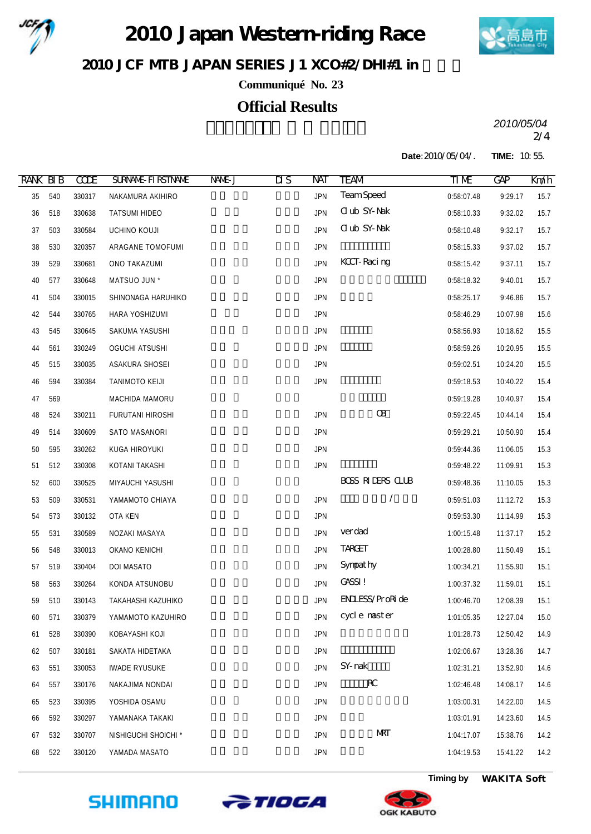

2010 Japan Western riding Race



JCF MIB JAPAN SERIES J1 XCO#2/DHI#1 in

**Communiqué No. 23**

### **Official Results**

2/4 *2010/05/04*

**Date:**2010/05/04/. **TIME:** 10:55.

| <b>RANK BIB</b> |     | <b>CCDE</b> | <b>SURVANE FIRSTIVANE</b> | NAME J | $\overline{\text{MS}}$ | NAT        | <b>TEAM</b>             | $\tt\Pi$ ME | <b>GAP</b> | Km/h |
|-----------------|-----|-------------|---------------------------|--------|------------------------|------------|-------------------------|-------------|------------|------|
| 35              | 540 | 330317      | NAKAMURA AKIHIRO          |        |                        | <b>JPN</b> | <b>TeamSpeed</b>        | 0:58:07.48  | 9:29.17    | 15.7 |
| $36\,$          | 518 | 330638      | <b>TATSUMI HIDEO</b>      |        |                        | <b>JPN</b> | <b>Club SY-Nak</b>      | 0:58:10.33  | 9:32.02    | 15.7 |
| 37              | 503 | 330584      | UCHINO KOUJI              |        |                        | <b>JPN</b> | <b>Club SY-Nak</b>      | 0:58:10.48  | 9:32.17    | 15.7 |
| 38              | 530 | 320357      | ARAGANE TOMOFUMI          |        |                        | <b>JPN</b> |                         | 0:58:15.33  | 9:37.02    | 15.7 |
| 39              | 529 | 330681      | ONO TAKAZUMI              |        |                        | <b>JPN</b> | <b>KCCT-Racing</b>      | 0:58:15.42  | 9:37.11    | 15.7 |
| 40              | 577 | 330648      | MATSUO JUN *              |        |                        | <b>JPN</b> |                         | 0:58:18.32  | 9:40.01    | 15.7 |
| 41              | 504 | 330015      | SHINONAGA HARUHIKO        |        |                        | <b>JPN</b> |                         | 0:58:25.17  | 9:46.86    | 15.7 |
| 42              | 544 | 330765      | HARA YOSHIZUMI            |        |                        | <b>JPN</b> |                         | 0:58:46.29  | 10:07.98   | 15.6 |
| 43              | 545 | 330645      | SAKUMA YASUSHI            |        |                        | <b>JPN</b> |                         | 0:58:56.93  | 10:18.62   | 15.5 |
| 44              | 561 | 330249      | <b>OGUCHI ATSUSHI</b>     |        |                        | <b>JPN</b> |                         | 0:58:59.26  | 10:20.95   | 15.5 |
| 45              | 515 | 330035      | ASAKURA SHOSEI            |        |                        | <b>JPN</b> |                         | 0:59:02.51  | 10:24.20   | 15.5 |
| 46              | 594 | 330384      | TANIMOTO KEIJI            |        |                        | <b>JPN</b> |                         | 0:59:18.53  | 10:40.22   | 15.4 |
| 47              | 569 |             | MACHIDA MAMORU            |        |                        |            |                         | 0:59:19.28  | 10:40.97   | 15.4 |
| 48              | 524 | 330211      | FURUTANI HIROSHI          |        |                        | <b>JPN</b> | <b>OB</b>               | 0:59:22.45  | 10:44.14   | 15.4 |
| 49              | 514 | 330609      | SATO MASANORI             |        |                        | <b>JPN</b> |                         | 0:59:29.21  | 10:50.90   | 15.4 |
| 50              | 595 | 330262      | KUGA HIROYUKI             |        |                        | <b>JPN</b> |                         | 0:59:44.36  | 11:06.05   | 15.3 |
| 51              | 512 | 330308      | KOTANI TAKASHI            |        |                        | <b>JPN</b> |                         | 0:59:48.22  | 11:09.91   | 15.3 |
| 52              | 600 | 330525      | MIYAUCHI YASUSHI          |        |                        |            | <b>BOSS RIDERS CLUB</b> | 0:59:48.36  | 11:10.05   | 15.3 |
| 53              | 509 | 330531      | YAMAMOTO CHIAYA           |        |                        | <b>JPN</b> |                         | 0:59:51.03  | 11:12.72   | 15.3 |
| 54              | 573 | 330132      | OTA KEN                   |        |                        | <b>JPN</b> |                         | 0:59:53.30  | 11:14.99   | 15.3 |
| 55              | 531 | 330589      | NOZAKI MASAYA             |        |                        | <b>JPN</b> | verdad                  | 1:00:15.48  | 11:37.17   | 15.2 |
| 56              | 548 | 330013      | OKANO KENICHI             |        |                        | <b>JPN</b> | <b>TARGET</b>           | 1:00:28.80  | 11:50.49   | 15.1 |
| 57              | 519 | 330404      | DOI MASATO                |        |                        | <b>JPN</b> | Sympathy                | 1:00:34.21  | 11:55.90   | 15.1 |
| 58              | 563 | 330264      | KONDA ATSUNOBU            |        |                        | <b>JPN</b> | <b>GASSI!</b>           | 1:00:37.32  | 11:59.01   | 15.1 |
| 59              | 510 | 330143      | TAKAHASHI KAZUHIKO        |        |                        | <b>JPN</b> | <b>ENLESS/ProRide</b>   | 1:00:46.70  | 12:08.39   | 15.1 |
| 60              | 571 | 330379      | YAMAMOTO KAZUHIRO         |        |                        | JPN        | cycle master            | 1:01:05.35  | 12:27.04   | 15.0 |
| 61              | 528 | 330390      | KOBAYASHI KOJI            |        |                        | <b>JPN</b> |                         | 1:01:28.73  | 12:50.42   | 14.9 |
| 62              | 507 | 330181      | SAKATA HIDETAKA           |        |                        | <b>JPN</b> |                         | 1:02:06.67  | 13:28.36   | 14.7 |
| 63              | 551 | 330053      | IWADE RYUSUKE             |        |                        | <b>JPN</b> | SY-rak                  | 1:02:31.21  | 13:52.90   | 14.6 |
| 64              | 557 | 330176      | NAKAJIMA NONDAI           |        |                        | <b>JPN</b> | $R_{\rm C}$             | 1:02:46.48  | 14:08.17   | 14.6 |
| 65              | 523 | 330395      | YOSHIDA OSAMU             |        |                        | <b>JPN</b> |                         | 1:03:00.31  | 14:22.00   | 14.5 |
| 66              | 592 | 330297      | YAMANAKA TAKAKI           |        |                        | <b>JPN</b> |                         | 1:03:01.91  | 14:23.60   | 14.5 |
| 67              | 532 | 330707      | NISHIGUCHI SHOICHI *      |        |                        | <b>JPN</b> | <b>NRT</b>              | 1:04:17.07  | 15:38.76   | 14.2 |
| 68              | 522 | 330120      | YAMADA MASATO             |        |                        | <b>JPN</b> |                         | 1:04:19.53  | 15:41.22   | 14.2 |







**Timing by** *WAKITA Soft*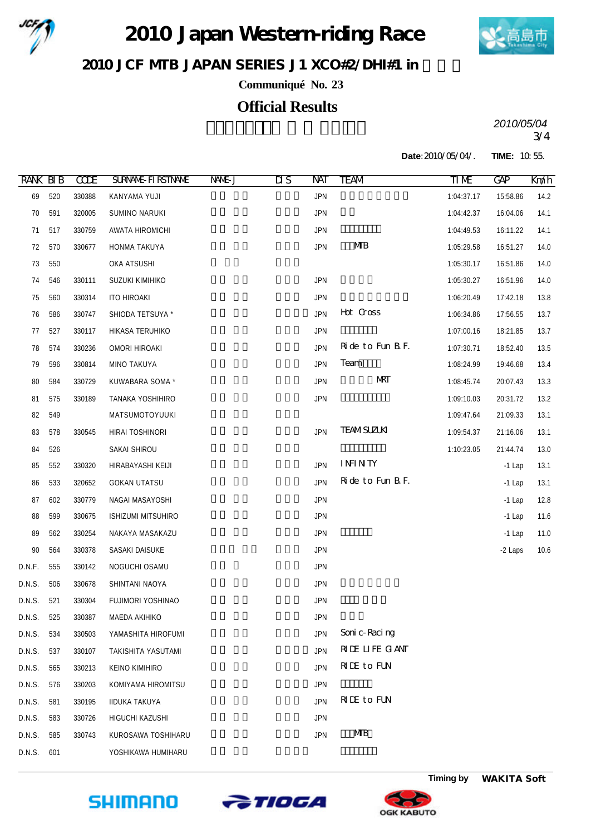

2010 Japan Western riding Race



 $2010$  JCF MIB JAPAN SERIES J1 XCO#2/DHI#1 in

**Communiqué No. 23**

# **Official Results**

3/4 *2010/05/04*

**Date:**2010/05/04/. **TIME:** 10:55.

| <b>RANK BIB</b> |     | <b>CODE</b> | <b>SURVANE FIRSTIVANE</b> | NAME J | $\overline{\text{MS}}$ | NAT        | TEAM              | TIME       | <b>GAP</b> | Km/h |
|-----------------|-----|-------------|---------------------------|--------|------------------------|------------|-------------------|------------|------------|------|
| 69              | 520 | 330388      | KANYAMA YUJI              |        |                        | <b>JPN</b> |                   | 1:04:37.17 | 15:58.86   | 14.2 |
| 70              | 591 | 320005      | SUMINO NARUKI             |        |                        | <b>JPN</b> |                   | 1:04:42.37 | 16:04.06   | 14.1 |
| 71              | 517 | 330759      | AWATA HIROMICHI           |        |                        | <b>JPN</b> |                   | 1:04:49.53 | 16:11.22   | 14.1 |
| 72              | 570 | 330677      | HONMA TAKUYA              |        |                        | <b>JPN</b> | <b>MB</b>         | 1:05:29.58 | 16:51.27   | 14.0 |
| 73              | 550 |             | OKA ATSUSHI               |        |                        |            |                   | 1:05:30.17 | 16:51.86   | 14.0 |
| 74              | 546 | 330111      | SUZUKI KIMIHIKO           |        |                        | <b>JPN</b> |                   | 1:05:30.27 | 16:51.96   | 14.0 |
| 75              | 560 | 330314      | <b>ITO HIROAKI</b>        |        |                        | <b>JPN</b> |                   | 1:06:20.49 | 17:42.18   | 13.8 |
| 76              | 586 | 330747      | SHIODA TETSUYA *          |        |                        | <b>JPN</b> | Hot Cross         | 1:06:34.86 | 17:56.55   | 13.7 |
| 77              | 527 | 330117      | HIKASA TERUHIKO           |        |                        | <b>JPN</b> |                   | 1:07:00.16 | 18:21.85   | 13.7 |
| 78              | 574 | 330236      | OMORI HIROAKI             |        |                        | <b>JPN</b> | Ride to Fun B.F.  | 1:07:30.71 | 18:52.40   | 13.5 |
| 79              | 596 | 330814      | MINO TAKUYA               |        |                        | <b>JPN</b> | Team              | 1:08:24.99 | 19:46.68   | 13.4 |
| 80              | 584 | 330729      | KUWABARA SOMA *           |        |                        | <b>JPN</b> | MRT               | 1:08:45.74 | 20:07.43   | 13.3 |
| 81              | 575 | 330189      | TANAKA YOSHIHIRO          |        |                        | JPN        |                   | 1:09:10.03 | 20:31.72   | 13.2 |
| 82              | 549 |             | MATSUMOTOYUUKI            |        |                        |            |                   | 1:09:47.64 | 21:09.33   | 13.1 |
| 83              | 578 | 330545      | HIRAI TOSHINORI           |        |                        | <b>JPN</b> | <b>TEAMSUZLKI</b> | 1:09:54.37 | 21:16.06   | 13.1 |
| 84              | 526 |             | SAKAI SHIROU              |        |                        |            |                   | 1:10:23.05 | 21:44.74   | 13.0 |
| 85              | 552 | 330320      | HIRABAYASHI KEIJI         |        |                        | <b>JPN</b> | <b>ININTY</b>     |            | $-1$ Lap   | 13.1 |
| 86              | 533 | 320652      | <b>GOKAN UTATSU</b>       |        |                        | <b>JPN</b> | Ride to Fun B.F.  |            | $-1$ Lap   | 13.1 |
| 87              | 602 | 330779      | NAGAI MASAYOSHI           |        |                        | <b>JPN</b> |                   |            | $-1$ Lap   | 12.8 |
| 88              | 599 | 330675      | ISHIZUMI MITSUHIRO        |        |                        | <b>JPN</b> |                   |            | $-1$ Lap   | 11.6 |
| 89              | 562 | 330254      | NAKAYA MASAKAZU           |        |                        | <b>JPN</b> |                   |            | $-1$ Lap   | 11.0 |
| 90              | 564 | 330378      | SASAKI DAISUKE            |        |                        | <b>JPN</b> |                   |            | -2 Laps    | 10.6 |
| D.N.F.          | 555 | 330142      | NOGUCHI OSAMU             |        |                        | <b>JPN</b> |                   |            |            |      |
| D.N.S.          | 506 | 330678      | SHINTANI NAOYA            |        |                        | <b>JPN</b> |                   |            |            |      |
| D.N.S.          | 521 | 330304      | FUJIMORI YOSHINAO         |        |                        | <b>JPN</b> |                   |            |            |      |
| D.N.S.          | 525 | 330387      | MAEDA AKIHIKO             |        |                        | JPN        |                   |            |            |      |
| D.N.S.          | 534 | 330503      | YAMASHITA HIROFUMI        |        |                        | <b>JPN</b> | Soni c-Raci ng    |            |            |      |
| D.N.S.          | 537 | 330107      | TAKISHITA YASUTAMI        |        |                        | <b>JPN</b> | RIE LIFE GANT     |            |            |      |
| D.N.S.          | 565 | 330213      | KEINO KIMIHIRO            |        |                        | <b>JPN</b> | <b>RIE</b> to FUN |            |            |      |
| D.N.S.          | 576 | 330203      | KOMIYAMA HIROMITSU        |        |                        | <b>JPN</b> |                   |            |            |      |
| D.N.S.          | 581 | 330195      | IIDUKA TAKUYA             |        |                        | <b>JPN</b> | <b>RIE</b> to FUN |            |            |      |
| D.N.S.          | 583 | 330726      | HIGUCHI KAZUSHI           |        |                        | <b>JPN</b> |                   |            |            |      |
| D.N.S.          | 585 | 330743      | KUROSAWA TOSHIHARU        |        |                        | <b>JPN</b> | MВ                |            |            |      |
| D.N.S.          | 601 |             | YOSHIKAWA HUMIHARU        |        |                        |            |                   |            |            |      |